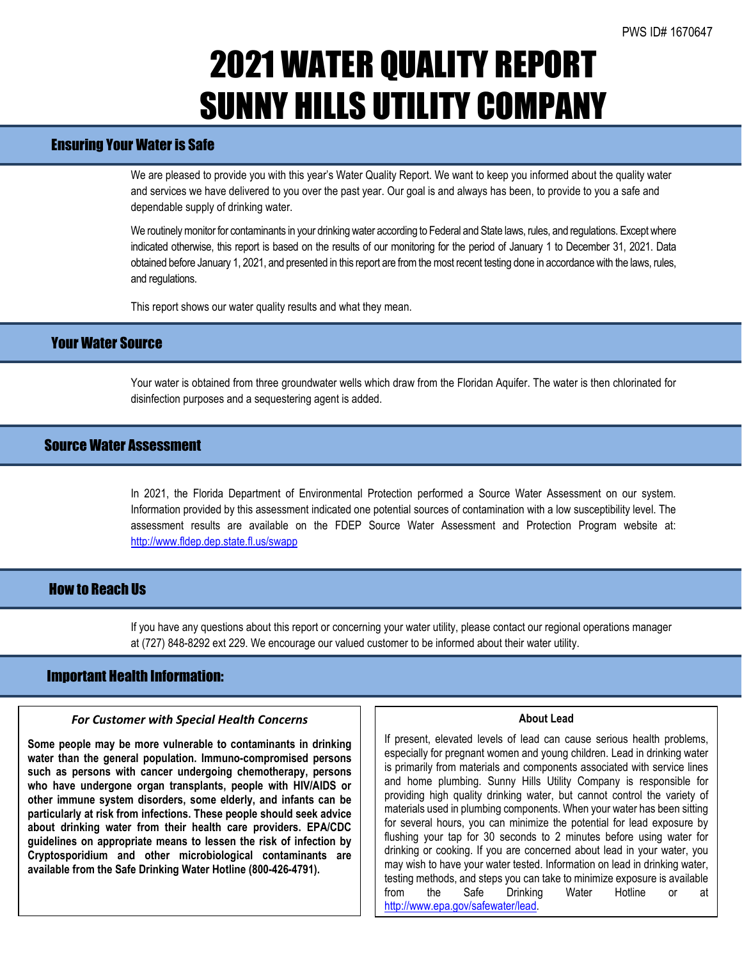## 2021 WATER QUALITY REPORT SUNNY HILLS UTILITY COMPANY

## Ensuring Your Water is Safe

We are pleased to provide you with this year's Water Quality Report. We want to keep you informed about the quality water and services we have delivered to you over the past year. Our goal is and always has been, to provide to you a safe and dependable supply of drinking water.

We routinely monitor for contaminants in your drinking water according to Federal and State laws, rules, and regulations. Except where indicated otherwise, this report is based on the results of our monitoring for the period of January 1 to December 31, 2021. Data obtained before January 1, 2021, and presented in this report are from the most recent testing done in accordance with the laws, rules, and regulations.

This report shows our water quality results and what they mean.

## Your Water Source

Your water is obtained from three groundwater wells which draw from the Floridan Aquifer. The water is then chlorinated for disinfection purposes and a sequestering agent is added.

## Source Water Assessment

In 2021, the Florida Department of Environmental Protection performed a Source Water Assessment on our system. Information provided by this assessment indicated one potential sources of contamination with a low susceptibility level. The assessment results are available on the FDEP Source Water Assessment and Protection Program website at: <http://www.fldep.dep.state.fl.us/swapp>

## How to Reach Us

If you have any questions about this report or concerning your water utility, please contact our regional operations manager at (727) 848-8292 ext 229. We encourage our valued customer to be informed about their water utility.

### Important Health Information:

l

### *For Customer with Special Health Concerns*

**Some people may be more vulnerable to contaminants in drinking water than the general population. Immuno-compromised persons such as persons with cancer undergoing chemotherapy, persons who have undergone organ transplants, people with HIV/AIDS or other immune system disorders, some elderly, and infants can be particularly at risk from infections. These people should seek advice about drinking water from their health care providers. EPA/CDC guidelines on appropriate means to lessen the risk of infection by Cryptosporidium and other microbiological contaminants are available from the Safe Drinking Water Hotline (800-426-4791).**

#### **About Lead**

If present, elevated levels of lead can cause serious health problems, especially for pregnant women and young children. Lead in drinking water is primarily from materials and components associated with service lines and home plumbing. Sunny Hills Utility Company is responsible for providing high quality drinking water, but cannot control the variety of materials used in plumbing components. When your water has been sitting for several hours, you can minimize the potential for lead exposure by flushing your tap for 30 seconds to 2 minutes before using water for drinking or cooking. If you are concerned about lead in your water, you may wish to have your water tested. Information on lead in drinking water, testing methods, and steps you can take to minimize exposure is available from the Safe Drinking Water Hotline or at [http://www.epa.gov/safewater/lead.](http://www.epa.gov/safewater/lead)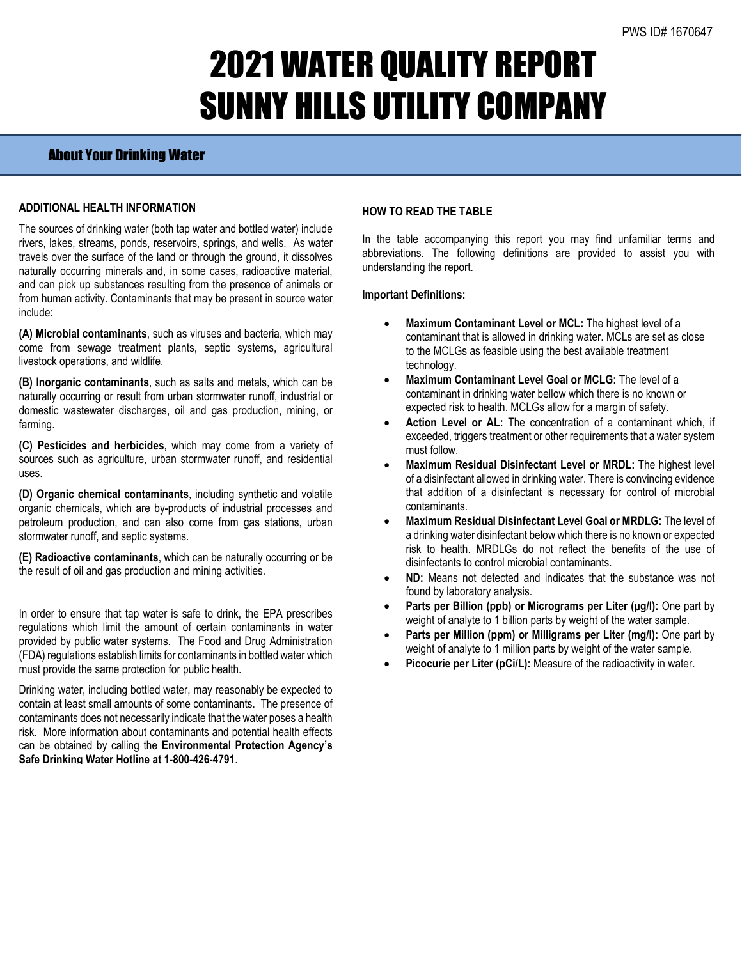# 2021 WATER QUALITY REPORT SUNNY HILLS UTILITY COMPANY

## About Your Drinking Water

### **ADDITIONAL HEALTH INFORMATION**

The sources of drinking water (both tap water and bottled water) include rivers, lakes, streams, ponds, reservoirs, springs, and wells. As water travels over the surface of the land or through the ground, it dissolves naturally occurring minerals and, in some cases, radioactive material, and can pick up substances resulting from the presence of animals or from human activity. Contaminants that may be present in source water include:

**(A) Microbial contaminants**, such as viruses and bacteria, which may come from sewage treatment plants, septic systems, agricultural livestock operations, and wildlife.

**(B) Inorganic contaminants**, such as salts and metals, which can be naturally occurring or result from urban stormwater runoff, industrial or domestic wastewater discharges, oil and gas production, mining, or farming.

**(C) Pesticides and herbicides**, which may come from a variety of sources such as agriculture, urban stormwater runoff, and residential uses.

**(D) Organic chemical contaminants**, including synthetic and volatile organic chemicals, which are by-products of industrial processes and petroleum production, and can also come from gas stations, urban stormwater runoff, and septic systems.

**(E) Radioactive contaminants**, which can be naturally occurring or be the result of oil and gas production and mining activities.

In order to ensure that tap water is safe to drink, the EPA prescribes regulations which limit the amount of certain contaminants in water provided by public water systems. The Food and Drug Administration (FDA) regulations establish limits for contaminants in bottled water which must provide the same protection for public health.

Drinking water, including bottled water, may reasonably be expected to contain at least small amounts of some contaminants. The presence of contaminants does not necessarily indicate that the water poses a health risk. More information about contaminants and potential health effects can be obtained by calling the **Environmental Protection Agency's Safe Drinking Water Hotline at 1-800-426-4791**.

### **HOW TO READ THE TABLE**

In the table accompanying this report you may find unfamiliar terms and abbreviations. The following definitions are provided to assist you with understanding the report.

#### **Important Definitions:**

- **Maximum Contaminant Level or MCL:** The highest level of a contaminant that is allowed in drinking water. MCLs are set as close to the MCLGs as feasible using the best available treatment technology.
- **Maximum Contaminant Level Goal or MCLG:** The level of a contaminant in drinking water bellow which there is no known or expected risk to health. MCLGs allow for a margin of safety.
- Action Level or AL: The concentration of a contaminant which, if exceeded, triggers treatment or other requirements that a water system must follow.
- **Maximum Residual Disinfectant Level or MRDL:** The highest level of a disinfectant allowed in drinking water. There is convincing evidence that addition of a disinfectant is necessary for control of microbial contaminants.
- **Maximum Residual Disinfectant Level Goal or MRDLG:** The level of a drinking water disinfectant below which there is no known or expected risk to health. MRDLGs do not reflect the benefits of the use of disinfectants to control microbial contaminants.
- **ND:** Means not detected and indicates that the substance was not found by laboratory analysis.
- **Parts per Billion (ppb) or Micrograms per Liter (μg/l):** One part by weight of analyte to 1 billion parts by weight of the water sample.
- **Parts per Million (ppm) or Milligrams per Liter (mg/l):** One part by weight of analyte to 1 million parts by weight of the water sample.
- **Picocurie per Liter (pCi/L):** Measure of the radioactivity in water.